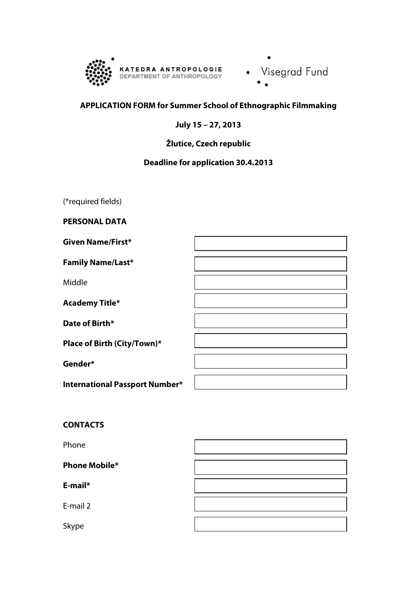

• Visegrad Fund

# **APPLICATION FORM for Summer School of Ethnographic Filmmaking**

## **July 15 – 27, 2013**

# **Žlutice, Czech republic**

# **Deadline for application 30.4.2013**

(\*required fields)

**PERSONAL DATA**

| <b>Given Name/First*</b>              |  |
|---------------------------------------|--|
| <b>Family Name/Last*</b>              |  |
| Middle                                |  |
| <b>Academy Title*</b>                 |  |
| Date of Birth*                        |  |
| Place of Birth (City/Town)*           |  |
| Gender*                               |  |
| <b>International Passport Number*</b> |  |

## **CONTACTS**

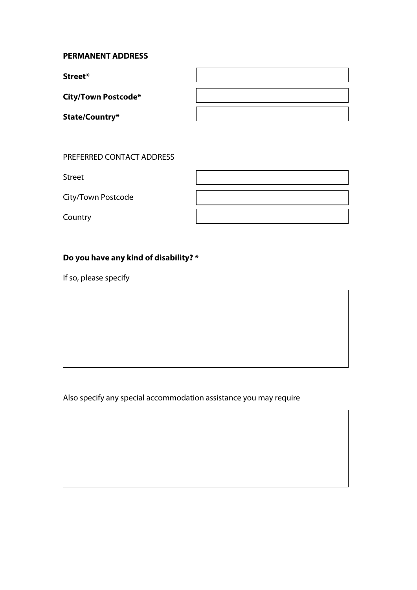## **PERMANENT ADDRESS**

**Street\***

**City/Town Postcode\***

**State/Country\***

### PREFERRED CONTACT ADDRESS

Street

City/Town Postcode

Country

## **Do you have any kind of disability? \***

If so, please specify

Also specify any special accommodation assistance you may require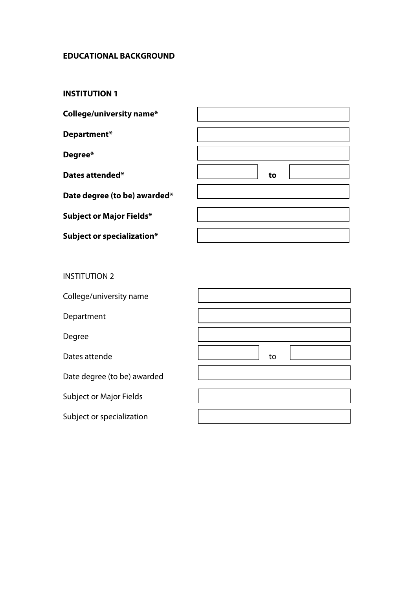## **EDUCATIONAL BACKGROUND**

### **INSTITUTION 1**

**College/university name\***

**Department\*** 

**Degree\*** 

**Dates attended\* to**

**Date degree (to be) awarded\***

**Subject or Major Fields\***

**Subject or specialization\***

|  | to |  |  |
|--|----|--|--|
|  |    |  |  |
|  |    |  |  |
|  |    |  |  |

INSTITUTION 2

| College/university name        |    |
|--------------------------------|----|
| Department                     |    |
| Degree                         |    |
| Dates attende                  | to |
| Date degree (to be) awarded    |    |
| <b>Subject or Major Fields</b> |    |
| Subject or specialization      |    |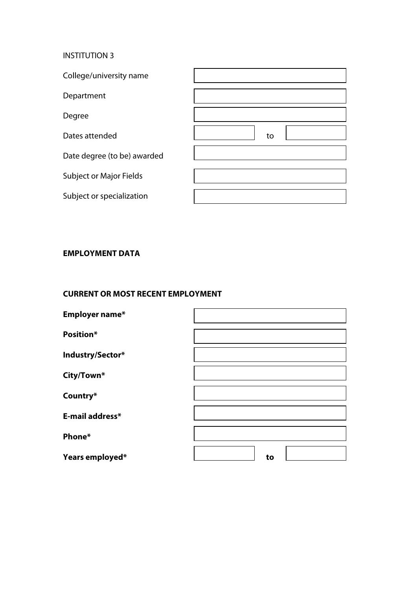### INSTITUTION 3

| College/university name        |    |
|--------------------------------|----|
| Department                     |    |
| Degree                         |    |
| Dates attended                 | to |
| Date degree (to be) awarded    |    |
| <b>Subject or Major Fields</b> |    |
| Subject or specialization      |    |

## **EMPLOYMENT DATA**

### **CURRENT OR MOST RECENT EMPLOYMENT**

| Employer name*   |    |
|------------------|----|
| <b>Position*</b> |    |
| Industry/Sector* |    |
| City/Town*       |    |
| Country*         |    |
| E-mail address*  |    |
| Phone*           |    |
| Years employed*  | to |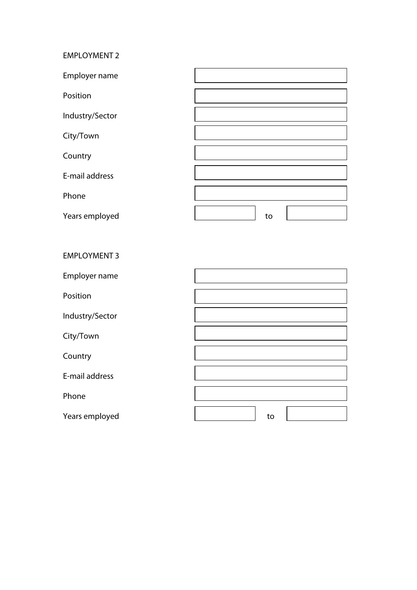### EMPLOYMENT 2

| Employer name   |    |
|-----------------|----|
| Position        |    |
| Industry/Sector |    |
| City/Town       |    |
| Country         |    |
| E-mail address  |    |
| Phone           |    |
| Years employed  | to |

# EMPLOYMENT 3 Employer name Position Industry/Sector City/Town Country E-mail address Phone Years employed and the settlement of the settlement of the settlement of the settlement of the settlement of the set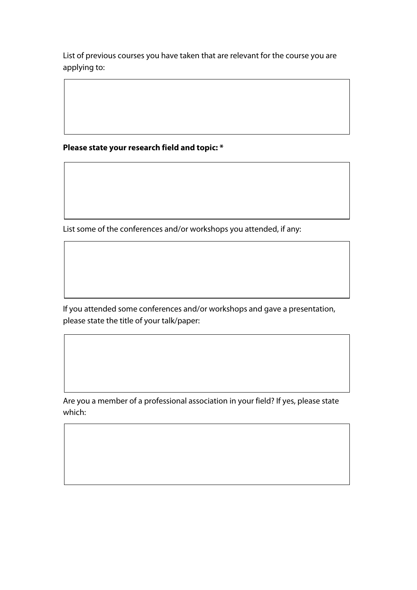List of previous courses you have taken that are relevant for the course you are applying to:

**Please state your research field and topic: \***

List some of the conferences and/or workshops you attended, if any:

If you attended some conferences and/or workshops and gave a presentation, please state the title of your talk/paper:

Are you a member of a professional association in your field? If yes, please state which: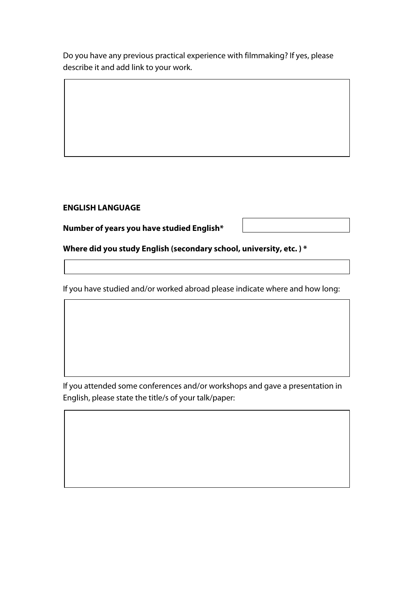Do you have any previous practical experience with filmmaking? If yes, please describe it and add link to your work.

## **ENGLISH LANGUAGE**

**Number of years you have studied English\***

**Where did you study English (secondary school, university, etc. ) \*** 

If you have studied and/or worked abroad please indicate where and how long:

If you attended some conferences and/or workshops and gave a presentation in English, please state the title/s of your talk/paper: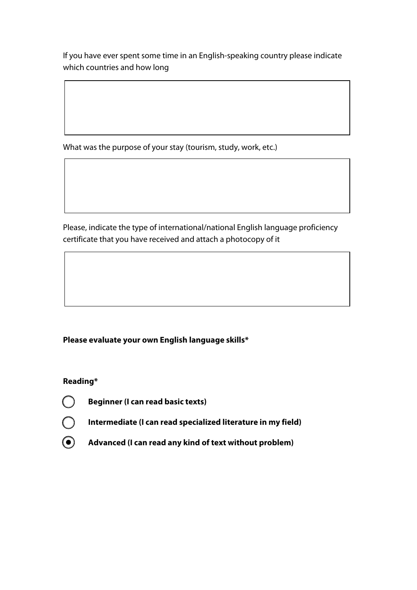If you have ever spent some time in an English-speaking country please indicate which countries and how long

What was the purpose of your stay (tourism, study, work, etc.)

Please, indicate the type of international/national English language proficiency certificate that you have received and attach a photocopy of it

# **Please evaluate your own English language skills\***

# **Reading\***

 $\left( \begin{array}{c} \end{array} \right)$ 

**Beginner (I can read basic texts)**

**Intermediate (I can read specialized literature in my field)**

**Advanced (I can read any kind of text without problem)** $\left( \bullet \right)$